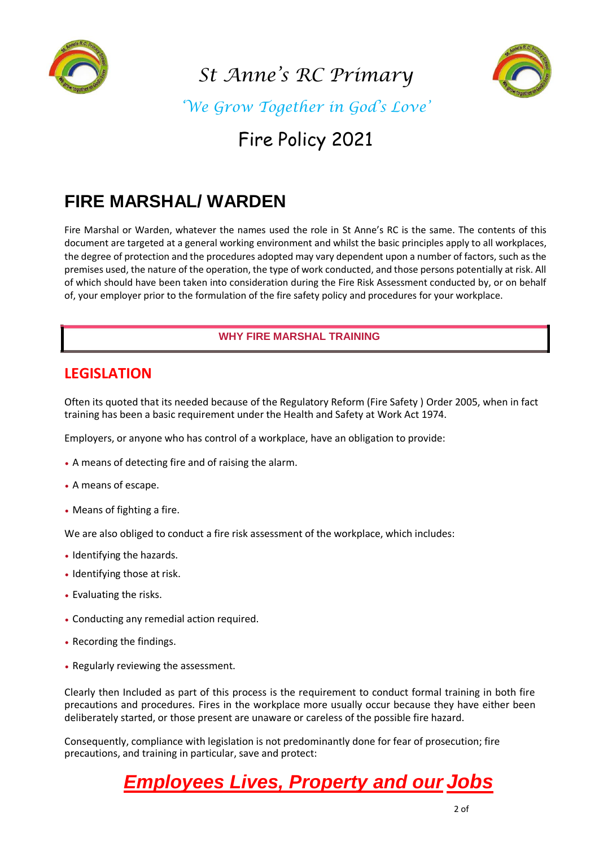

*St Anne's RC Primary* 



*'We Grow Together in God's Love'*

### Fire Policy 2021

### **FIRE MARSHAL/ WARDEN**

Fire Marshal or Warden, whatever the names used the role in St Anne's RC is the same. The contents of this document are targeted at a general working environment and whilst the basic principles apply to all workplaces, the degree of protection and the procedures adopted may vary dependent upon a number of factors, such as the premises used, the nature of the operation, the type of work conducted, and those persons potentially at risk. All of which should have been taken into consideration during the Fire Risk Assessment conducted by, or on behalf of, your employer prior to the formulation of the fire safety policy and procedures for your workplace.

#### **WHY FIRE MARSHAL TRAINING**

### **LEGISLATION**

Often its quoted that its needed because of the Regulatory Reform (Fire Safety ) Order 2005, when in fact training has been a basic requirement under the Health and Safety at Work Act 1974.

Employers, or anyone who has control of a workplace, have an obligation to provide:

- A means of detecting fire and of raising the alarm.
- A means of escape.
- Means of fighting a fire.

We are also obliged to conduct a fire risk assessment of the workplace, which includes:

- Identifying the hazards.
- Identifying those at risk.
- Evaluating the risks.
- Conducting any remedial action required.
- Recording the findings.
- Regularly reviewing the assessment.

Clearly then Included as part of this process is the requirement to conduct formal training in both fire precautions and procedures. Fires in the workplace more usually occur because they have either been deliberately started, or those present are unaware or careless of the possible fire hazard.

Consequently, compliance with legislation is not predominantly done for fear of prosecution; fire precautions, and training in particular, save and protect:

### *Employees Lives, Property and our Jobs*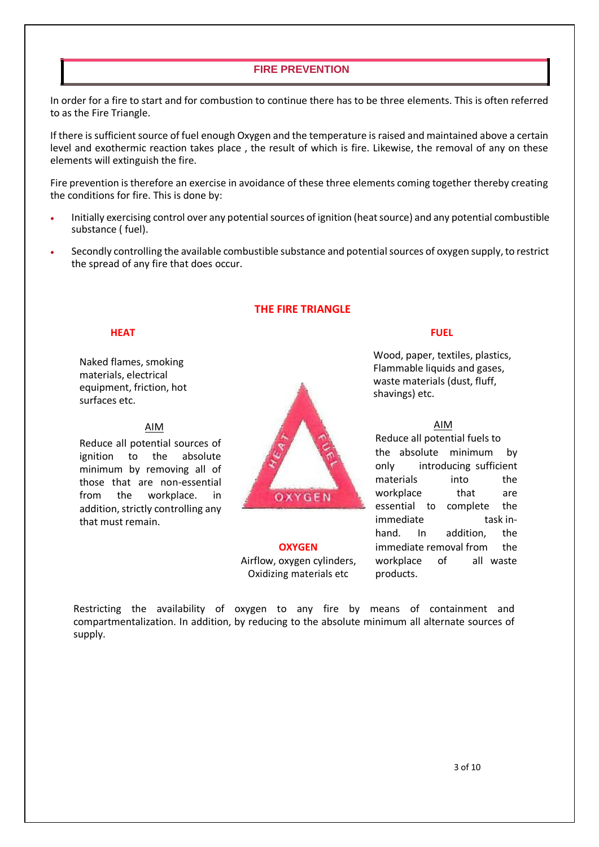#### **FIRE PREVENTION**

In order for a fire to start and for combustion to continue there has to be three elements. This is often referred to as the Fire Triangle.

If there is sufficient source of fuel enough Oxygen and the temperature is raised and maintained above a certain level and exothermic reaction takes place , the result of which is fire. Likewise, the removal of any on these elements will extinguish the fire.

Fire prevention is therefore an exercise in avoidance of these three elements coming together thereby creating the conditions for fire. This is done by:

- Initially exercising control over any potential sources of ignition (heat source) and any potential combustible substance ( fuel).
- Secondly controlling the available combustible substance and potential sources of oxygen supply, to restrict the spread of any fire that does occur.

#### **THE FIRE TRIANGLE**

Naked flames, smoking materials, electrical equipment, friction, hot surfaces etc.

#### AIM

Reduce all potential sources of ignition to the absolute minimum by removing all of those that are non-essential from the workplace. in addition, strictly controlling any that must remain.



# Oxidizing materials etc products.

#### **HEAT FUEL**

Wood, paper, textiles, plastics, Flammable liquids and gases, waste materials (dust, fluff, shavings) etc.

AIM Reduce all potential fuels to the absolute minimum by only introducing sufficient materials into the workplace that are essential to complete the immediate task inhand. In addition, the **OXYGEN immediate removal from** the Airflow, oxygen cylinders, workplace of all waste

Restricting the availability of oxygen to any fire by means of containment and compartmentalization. In addition, by reducing to the absolute minimum all alternate sources of supply.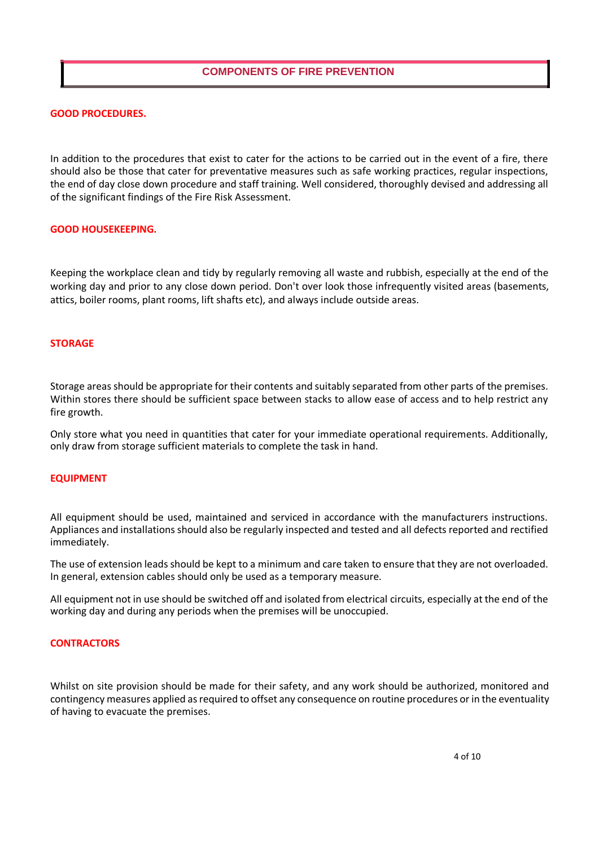#### **COMPONENTS OF FIRE PREVENTION**

#### **GOOD PROCEDURES.**

In addition to the procedures that exist to cater for the actions to be carried out in the event of a fire, there should also be those that cater for preventative measures such as safe working practices, regular inspections, the end of day close down procedure and staff training. Well considered, thoroughly devised and addressing all of the significant findings of the Fire Risk Assessment.

#### **GOOD HOUSEKEEPING.**

Keeping the workplace clean and tidy by regularly removing all waste and rubbish, especially at the end of the working day and prior to any close down period. Don't over look those infrequently visited areas (basements, attics, boiler rooms, plant rooms, lift shafts etc), and always include outside areas.

#### **STORAGE**

Storage areas should be appropriate for their contents and suitably separated from other parts of the premises. Within stores there should be sufficient space between stacks to allow ease of access and to help restrict any fire growth.

Only store what you need in quantities that cater for your immediate operational requirements. Additionally, only draw from storage sufficient materials to complete the task in hand.

#### **EQUIPMENT**

All equipment should be used, maintained and serviced in accordance with the manufacturers instructions. Appliances and installations should also be regularly inspected and tested and all defects reported and rectified immediately.

The use of extension leads should be kept to a minimum and care taken to ensure that they are not overloaded. In general, extension cables should only be used as a temporary measure.

All equipment not in use should be switched off and isolated from electrical circuits, especially at the end of the working day and during any periods when the premises will be unoccupied.

#### **CONTRACTORS**

Whilst on site provision should be made for their safety, and any work should be authorized, monitored and contingency measures applied as required to offset any consequence on routine procedures or in the eventuality of having to evacuate the premises.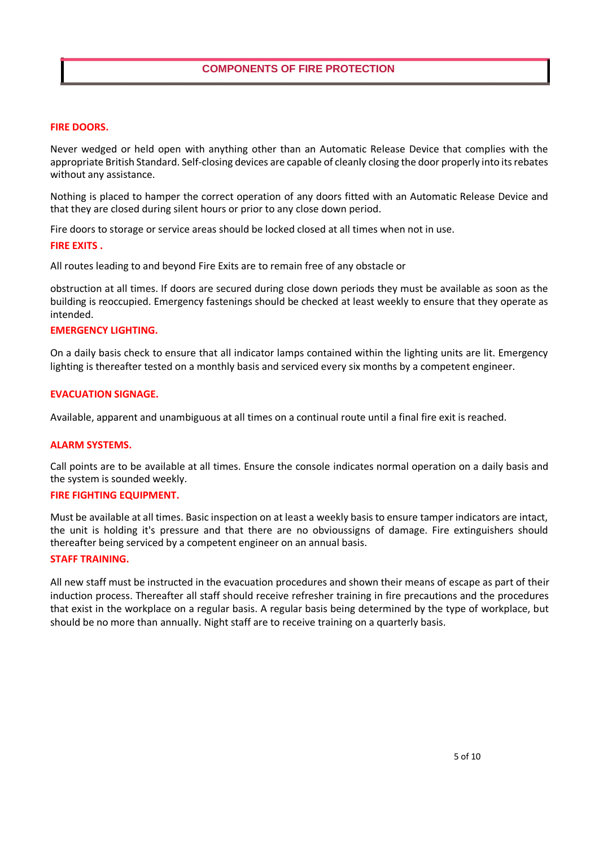#### **FIRE DOORS.**

Never wedged or held open with anything other than an Automatic Release Device that complies with the appropriate British Standard. Self-closing devices are capable of cleanly closing the door properly into its rebates without any assistance.

Nothing is placed to hamper the correct operation of any doors fitted with an Automatic Release Device and that they are closed during silent hours or prior to any close down period.

Fire doors to storage or service areas should be locked closed at all times when not in use.

#### **FIRE EXITS .**

All routes leading to and beyond Fire Exits are to remain free of any obstacle or

obstruction at all times. If doors are secured during close down periods they must be available as soon as the building is reoccupied. Emergency fastenings should be checked at least weekly to ensure that they operate as intended.

#### **EMERGENCY LIGHTING.**

On a daily basis check to ensure that all indicator lamps contained within the lighting units are lit. Emergency lighting is thereafter tested on a monthly basis and serviced every six months by a competent engineer.

#### **EVACUATION SIGNAGE.**

Available, apparent and unambiguous at all times on a continual route until a final fire exit is reached.

#### **ALARM SYSTEMS.**

Call points are to be available at all times. Ensure the console indicates normal operation on a daily basis and the system is sounded weekly.

#### **FIRE FIGHTING EQUIPMENT.**

Must be available at all times. Basic inspection on at least a weekly basis to ensure tamper indicators are intact, the unit is holding it's pressure and that there are no obvioussigns of damage. Fire extinguishers should thereafter being serviced by a competent engineer on an annual basis.

#### **STAFF TRAINING.**

All new staff must be instructed in the evacuation procedures and shown their means of escape as part of their induction process. Thereafter all staff should receive refresher training in fire precautions and the procedures that exist in the workplace on a regular basis. A regular basis being determined by the type of workplace, but should be no more than annually. Night staff are to receive training on a quarterly basis.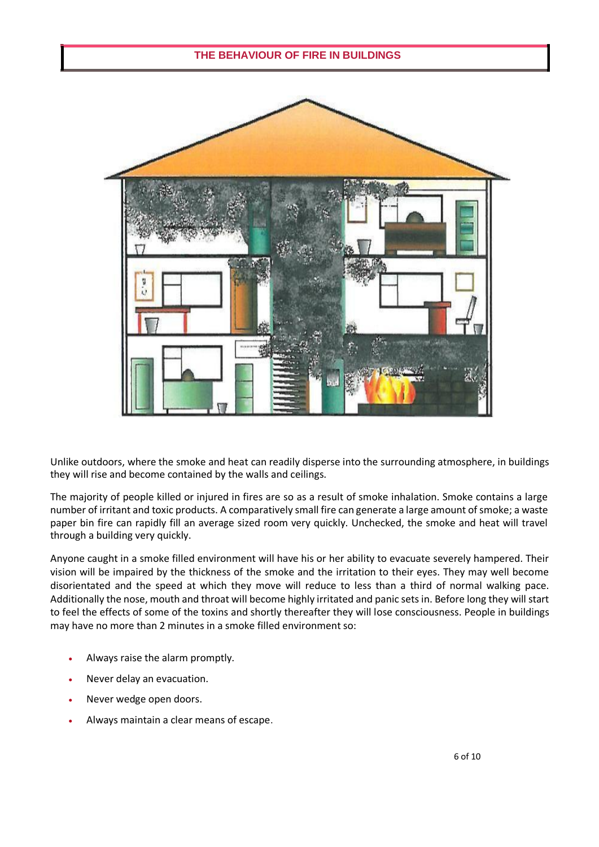#### **THE BEHAVIOUR OF FIRE IN BUILDINGS**



Unlike outdoors, where the smoke and heat can readily disperse into the surrounding atmosphere, in buildings they will rise and become contained by the walls and ceilings.

The majority of people killed or injured in fires are so as a result of smoke inhalation. Smoke contains a large number of irritant and toxic products. A comparatively small fire can generate a large amount of smoke; a waste paper bin fire can rapidly fill an average sized room very quickly. Unchecked, the smoke and heat will travel through a building very quickly.

Anyone caught in a smoke filled environment will have his or her ability to evacuate severely hampered. Their vision will be impaired by the thickness of the smoke and the irritation to their eyes. They may well become disorientated and the speed at which they move will reduce to less than a third of normal walking pace. Additionally the nose, mouth and throat will become highly irritated and panic sets in. Before long they will start to feel the effects of some of the toxins and shortly thereafter they will lose consciousness. People in buildings may have no more than 2 minutes in a smoke filled environment so:

- Always raise the alarm promptly.
- Never delay an evacuation.
- Never wedge open doors.
- Always maintain a clear means of escape.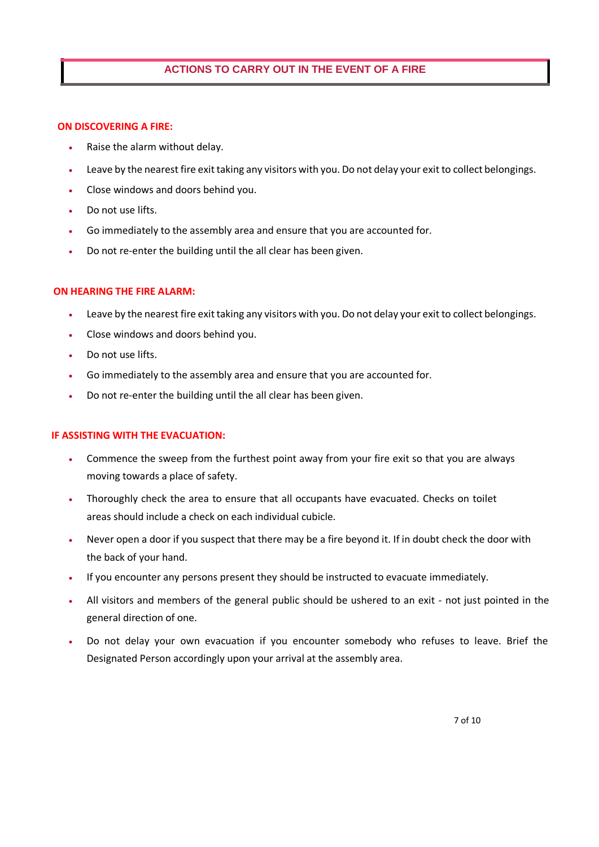#### **ACTIONS TO CARRY OUT IN THE EVENT OF A FIRE**

#### **ON DISCOVERING A FIRE:**

- Raise the alarm without delay.
- Leave by the nearest fire exit taking any visitors with you. Do not delay your exit to collect belongings.
- Close windows and doors behind you.
- Do not use lifts.
- Go immediately to the assembly area and ensure that you are accounted for.
- Do not re-enter the building until the all clear has been given.

#### **ON HEARING THE FIRE ALARM:**

- Leave by the nearest fire exit taking any visitors with you. Do not delay your exit to collect belongings.
- Close windows and doors behind you.
- Do not use lifts.
- Go immediately to the assembly area and ensure that you are accounted for.
- Do not re-enter the building until the all clear has been given.

#### **IF ASSISTING WITH THE EVACUATION:**

- Commence the sweep from the furthest point away from your fire exit so that you are always moving towards a place of safety.
- Thoroughly check the area to ensure that all occupants have evacuated. Checks on toilet areas should include a check on each individual cubicle.
- Never open a door if you suspect that there may be a fire beyond it. If in doubt check the door with the back of your hand.
- If you encounter any persons present they should be instructed to evacuate immediately.
- All visitors and members of the general public should be ushered to an exit not just pointed in the general direction of one.
- Do not delay your own evacuation if you encounter somebody who refuses to leave. Brief the Designated Person accordingly upon your arrival at the assembly area.

7 of 10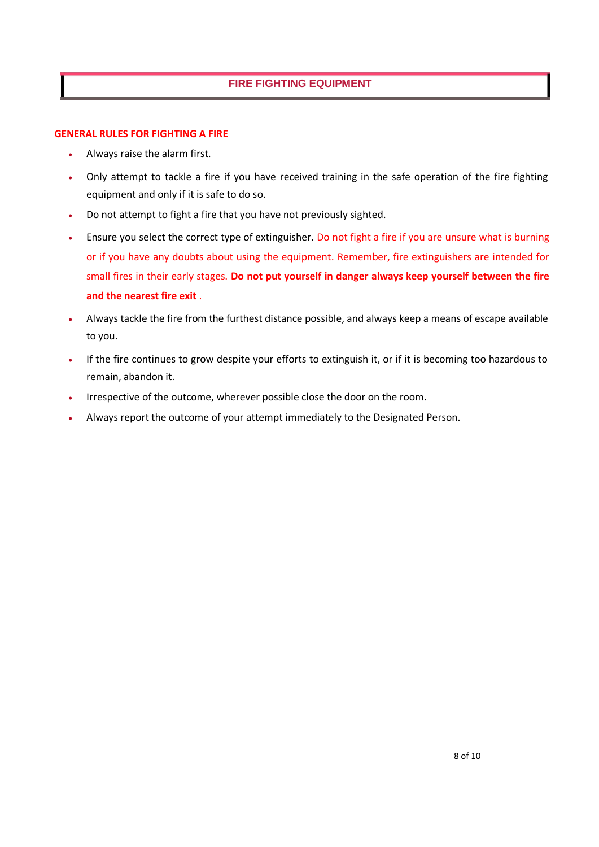#### **FIRE FIGHTING EQUIPMENT**

#### **GENERAL RULES FOR FIGHTING A FIRE**

- Always raise the alarm first.
- Only attempt to tackle a fire if you have received training in the safe operation of the fire fighting equipment and only if it is safe to do so.
- Do not attempt to fight a fire that you have not previously sighted.
- Ensure you select the correct type of extinguisher. Do not fight a fire if you are unsure what is burning or if you have any doubts about using the equipment. Remember, fire extinguishers are intended for small fires in their early stages. **Do not put yourself in danger always keep yourself between the fire and the nearest fire exit** .
- Always tackle the fire from the furthest distance possible, and always keep a means of escape available to you.
- If the fire continues to grow despite your efforts to extinguish it, or if it is becoming too hazardous to remain, abandon it.
- Irrespective of the outcome, wherever possible close the door on the room.
- Always report the outcome of your attempt immediately to the Designated Person.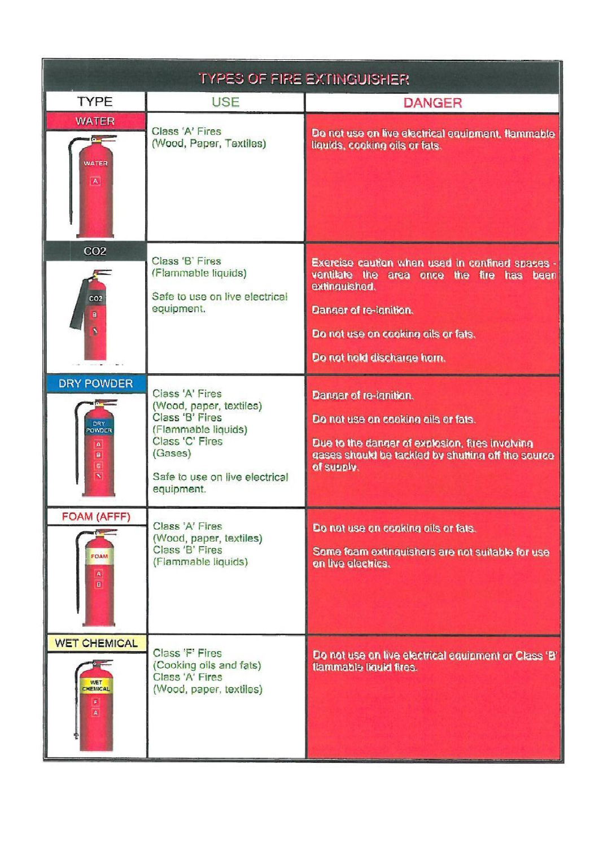| <b>TYPES OF FIRE EXTINGUISHER</b>                                                                                |                                                                                                                                                                    |                                                                                                                                                                                                               |
|------------------------------------------------------------------------------------------------------------------|--------------------------------------------------------------------------------------------------------------------------------------------------------------------|---------------------------------------------------------------------------------------------------------------------------------------------------------------------------------------------------------------|
| <b>TYPE</b>                                                                                                      | <b>USE</b>                                                                                                                                                         | <b>DANGER</b>                                                                                                                                                                                                 |
| <b>WATER</b><br><b>WATER</b><br>$\boxed{\mathbf{A}}$                                                             | Class 'A' Fires<br>(Wood, Paper, Textiles)                                                                                                                         | Do not use on live electrical equipment, flammable<br>liquids, cooking oils or fats.                                                                                                                          |
| CO <sub>2</sub><br>CO <sub>2</sub><br>ä<br>s.                                                                    | Class 'B' Fires<br>(Flammable liquids)<br>Safe to use on live electrical<br>equipment.                                                                             | Exercise caution when used in confined spaces -<br>ventilate the area once the fire has been<br>extinguished.<br>Danger of re-ignition.<br>Do not use on cooking ails or fats.<br>Do not hold discharge horn. |
| <b>DRY POWDER</b><br><b>DRY</b><br>POWDER<br>$\mathbf{A}$<br>$\blacksquare$<br>$\vert$ G $\vert$<br>$\mathbf{v}$ | Class 'A' Fires<br>(Wood, paper, textiles)<br>Class 'B' Fires<br>(Flammable liquids)<br>Class 'C' Fires<br>(Gases)<br>Safe to use on live electrical<br>equipment. | Danger of re-ignition.<br>Do not use on cooking oils or fats.<br>Due to the danger of explosion, fires involving<br>gases should be tackled by shutting off the source<br>of supply.                          |
| FOAM (AFFF)<br>FOAM<br>$\mathbf{A}$<br>$\blacksquare$                                                            | Class 'A' Fires<br>(Wood, paper, textiles)<br>Class 'B' Fires<br>(Flammable liquids)                                                                               | Do not use on cooking oils or fats.<br>Same feam extinguishers are not suitable for use<br>on live electrics.                                                                                                 |
| <b>WET CHEMICAL</b><br><b>WET</b><br>CHEMICAL<br>$\mathbf{F}$<br>$\mathbf{A}$                                    | Class 'F' Fires<br>(Cooking oils and fats)<br>Class 'A' Fires<br>(Wood, paper, textiles)                                                                           | Do not use on live electrical equipment or Class 'B'<br>flammable liquid fires.                                                                                                                               |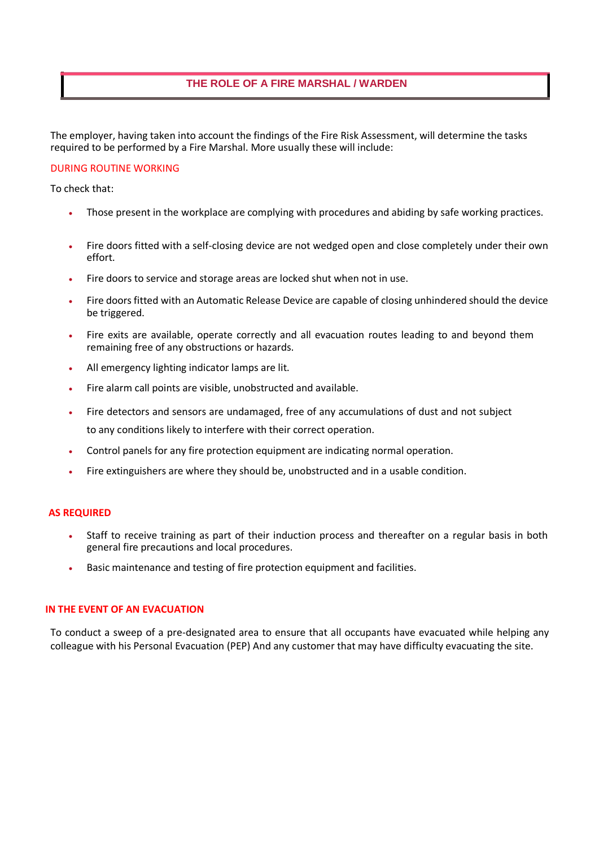#### **THE ROLE OF A FIRE MARSHAL / WARDEN**

The employer, having taken into account the findings of the Fire Risk Assessment, will determine the tasks required to be performed by a Fire Marshal. More usually these will include:

#### DURING ROUTINE WORKING

To check that:

- Those present in the workplace are complying with procedures and abiding by safe working practices.
- Fire doors fitted with a self-closing device are not wedged open and close completely under their own effort.
- Fire doors to service and storage areas are locked shut when not in use.
- Fire doors fitted with an Automatic Release Device are capable of closing unhindered should the device be triggered.
- Fire exits are available, operate correctly and all evacuation routes leading to and beyond them remaining free of any obstructions or hazards.
- All emergency lighting indicator lamps are lit.
- Fire alarm call points are visible, unobstructed and available.
- Fire detectors and sensors are undamaged, free of any accumulations of dust and not subject to any conditions likely to interfere with their correct operation.
- Control panels for any fire protection equipment are indicating normal operation.
- Fire extinguishers are where they should be, unobstructed and in a usable condition.

#### **AS REQUIRED**

- Staff to receive training as part of their induction process and thereafter on a regular basis in both general fire precautions and local procedures.
- Basic maintenance and testing of fire protection equipment and facilities.

#### **IN THE EVENT OF AN EVACUATION**

To conduct a sweep of a pre-designated area to ensure that all occupants have evacuated while helping any colleague with his Personal Evacuation (PEP) And any customer that may have difficulty evacuating the site.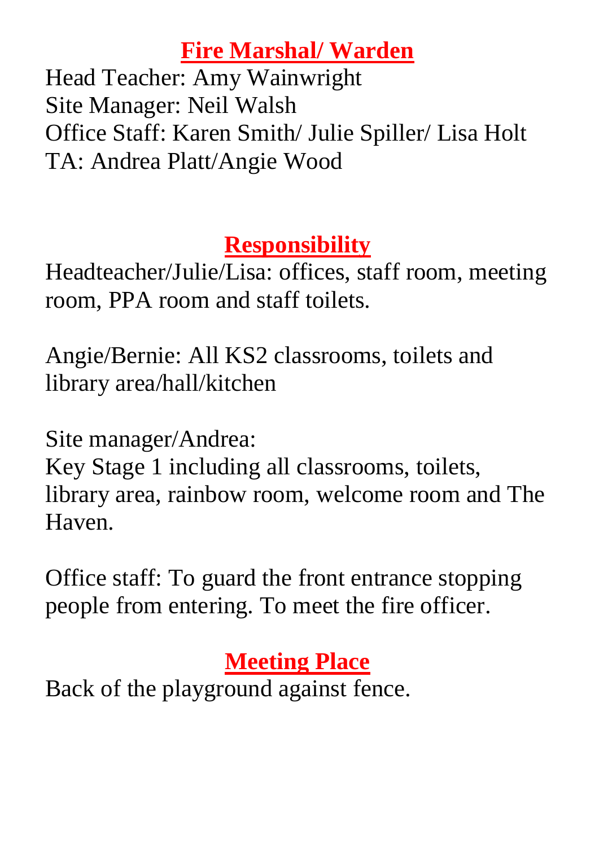## **Fire Marshal/ Warden**

Head Teacher: Amy Wainwright Site Manager: Neil Walsh Office Staff: Karen Smith/ Julie Spiller/ Lisa Holt TA: Andrea Platt/Angie Wood

# **Responsibility**

Headteacher/Julie/Lisa: offices, staff room, meeting room, PPA room and staff toilets.

Angie/Bernie: All KS2 classrooms, toilets and library area/hall/kitchen

Site manager/Andrea:

Key Stage 1 including all classrooms, toilets, library area, rainbow room, welcome room and The Haven.

Office staff: To guard the front entrance stopping people from entering. To meet the fire officer.

# **Meeting Place**

Back of the playground against fence.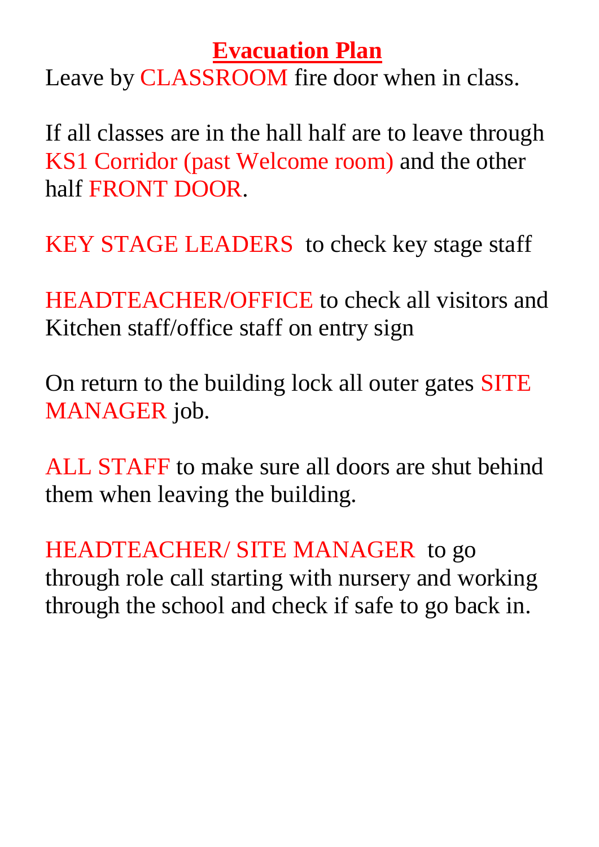### **Evacuation Plan**

Leave by CLASSROOM fire door when in class.

If all classes are in the hall half are to leave through KS1 Corridor (past Welcome room) and the other half FRONT DOOR.

KEY STAGE LEADERS to check key stage staff

HEADTEACHER/OFFICE to check all visitors and Kitchen staff/office staff on entry sign

On return to the building lock all outer gates SITE MANAGER job.

ALL STAFF to make sure all doors are shut behind them when leaving the building.

HEADTEACHER/ SITE MANAGER to go through role call starting with nursery and working through the school and check if safe to go back in.